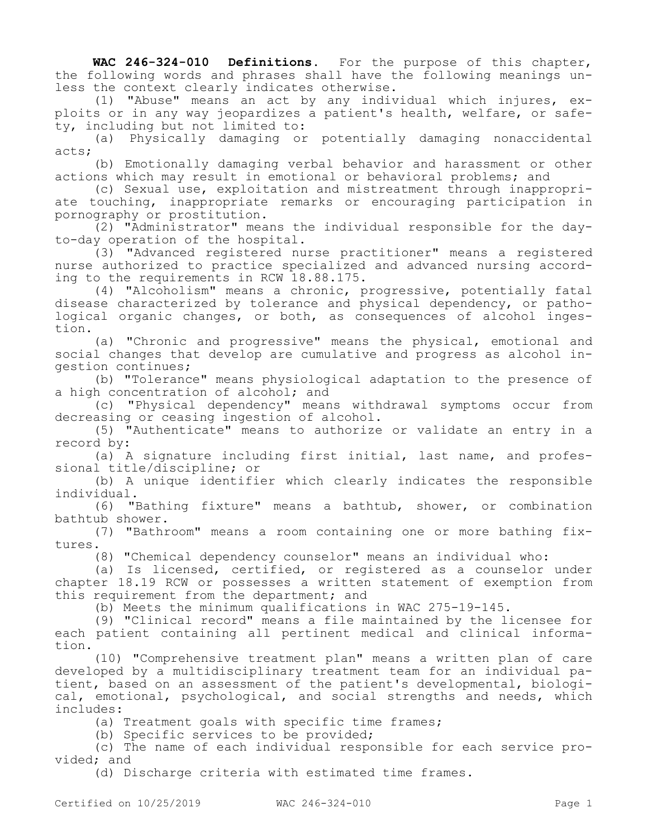**WAC 246-324-010 Definitions.** For the purpose of this chapter, the following words and phrases shall have the following meanings unless the context clearly indicates otherwise.

(1) "Abuse" means an act by any individual which injures, exploits or in any way jeopardizes a patient's health, welfare, or safety, including but not limited to:

(a) Physically damaging or potentially damaging nonaccidental acts;

(b) Emotionally damaging verbal behavior and harassment or other actions which may result in emotional or behavioral problems; and

(c) Sexual use, exploitation and mistreatment through inappropriate touching, inappropriate remarks or encouraging participation in pornography or prostitution.

(2) "Administrator" means the individual responsible for the dayto-day operation of the hospital.

(3) "Advanced registered nurse practitioner" means a registered nurse authorized to practice specialized and advanced nursing according to the requirements in RCW 18.88.175.

(4) "Alcoholism" means a chronic, progressive, potentially fatal disease characterized by tolerance and physical dependency, or pathological organic changes, or both, as consequences of alcohol ingestion.

(a) "Chronic and progressive" means the physical, emotional and social changes that develop are cumulative and progress as alcohol ingestion continues;

(b) "Tolerance" means physiological adaptation to the presence of a high concentration of alcohol; and

(c) "Physical dependency" means withdrawal symptoms occur from decreasing or ceasing ingestion of alcohol.

(5) "Authenticate" means to authorize or validate an entry in a record by:

(a) A signature including first initial, last name, and professional title/discipline; or

(b) A unique identifier which clearly indicates the responsible individual.

(6) "Bathing fixture" means a bathtub, shower, or combination bathtub shower.

(7) "Bathroom" means a room containing one or more bathing fixtures.

(8) "Chemical dependency counselor" means an individual who:

(a) Is licensed, certified, or registered as a counselor under chapter 18.19 RCW or possesses a written statement of exemption from this requirement from the department; and

(b) Meets the minimum qualifications in WAC 275-19-145.

(9) "Clinical record" means a file maintained by the licensee for each patient containing all pertinent medical and clinical information.

(10) "Comprehensive treatment plan" means a written plan of care developed by a multidisciplinary treatment team for an individual patient, based on an assessment of the patient's developmental, biological, emotional, psychological, and social strengths and needs, which includes:

(a) Treatment goals with specific time frames;

(b) Specific services to be provided;

(c) The name of each individual responsible for each service provided; and

(d) Discharge criteria with estimated time frames.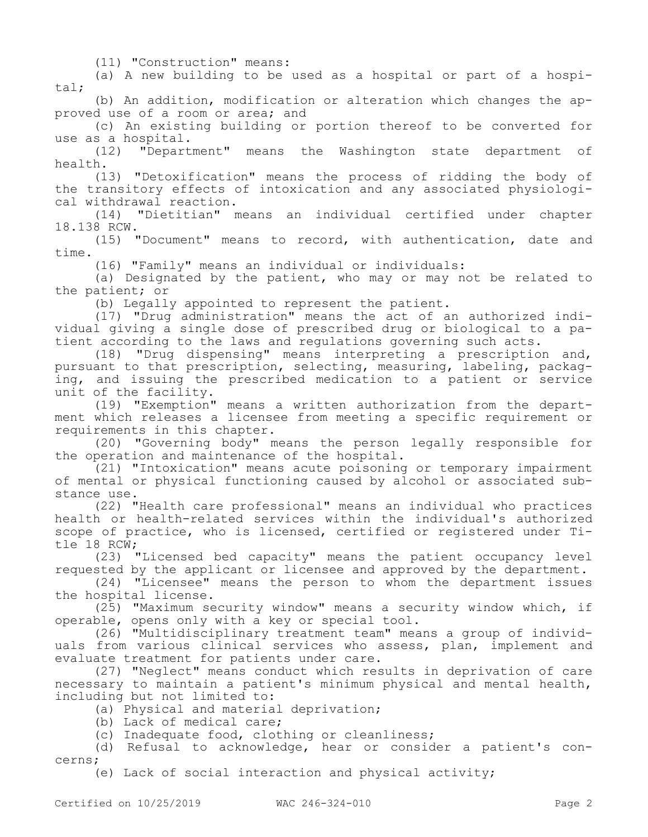(11) "Construction" means:

(a) A new building to be used as a hospital or part of a hospital;

(b) An addition, modification or alteration which changes the approved use of a room or area; and

(c) An existing building or portion thereof to be converted for use as a hospital.

(12) "Department" means the Washington state department of health.

(13) "Detoxification" means the process of ridding the body of the transitory effects of intoxication and any associated physiological withdrawal reaction.

(14) "Dietitian" means an individual certified under chapter 18.138 RCW.

(15) "Document" means to record, with authentication, date and time.

(16) "Family" means an individual or individuals:

(a) Designated by the patient, who may or may not be related to the patient; or

(b) Legally appointed to represent the patient.

(17) "Drug administration" means the act of an authorized individual giving a single dose of prescribed drug or biological to a patient according to the laws and regulations governing such acts.

(18) "Drug dispensing" means interpreting a prescription and, pursuant to that prescription, selecting, measuring, labeling, packaging, and issuing the prescribed medication to a patient or service unit of the facility.

(19) "Exemption" means a written authorization from the department which releases a licensee from meeting a specific requirement or requirements in this chapter.

(20) "Governing body" means the person legally responsible for the operation and maintenance of the hospital.

(21) "Intoxication" means acute poisoning or temporary impairment of mental or physical functioning caused by alcohol or associated substance use.

(22) "Health care professional" means an individual who practices health or health-related services within the individual's authorized scope of practice, who is licensed, certified or registered under Title 18 RCW;

(23) "Licensed bed capacity" means the patient occupancy level requested by the applicant or licensee and approved by the department.

(24) "Licensee" means the person to whom the department issues the hospital license.

(25) "Maximum security window" means a security window which, if operable, opens only with a key or special tool.

(26) "Multidisciplinary treatment team" means a group of individuals from various clinical services who assess, plan, implement and evaluate treatment for patients under care.

(27) "Neglect" means conduct which results in deprivation of care necessary to maintain a patient's minimum physical and mental health, including but not limited to:

(a) Physical and material deprivation;

(b) Lack of medical care;

(c) Inadequate food, clothing or cleanliness;

(d) Refusal to acknowledge, hear or consider a patient's concerns;

(e) Lack of social interaction and physical activity;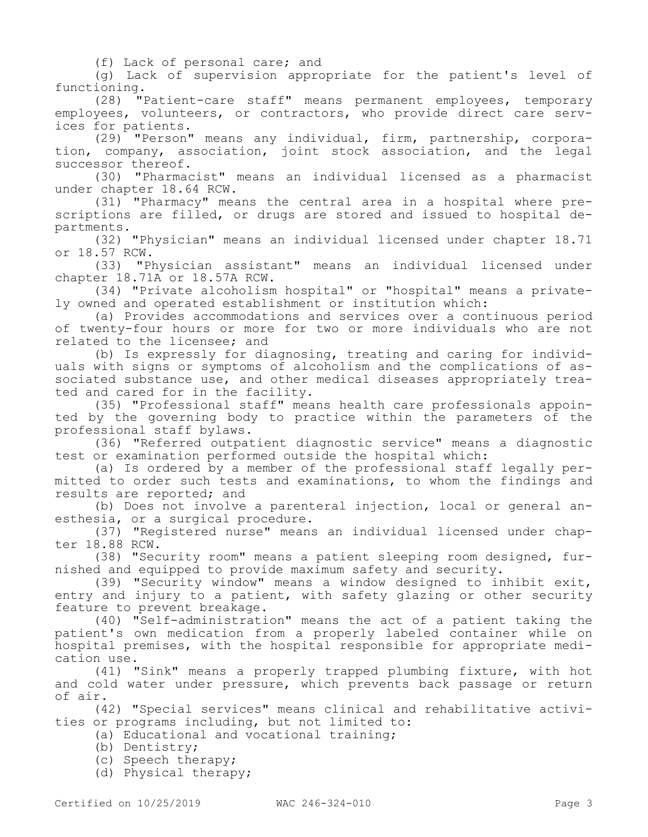(f) Lack of personal care; and

(g) Lack of supervision appropriate for the patient's level of functioning.

(28) "Patient-care staff" means permanent employees, temporary employees, volunteers, or contractors, who provide direct care services for patients.

(29) "Person" means any individual, firm, partnership, corporation, company, association, joint stock association, and the legal successor thereof.

(30) "Pharmacist" means an individual licensed as a pharmacist under chapter 18.64 RCW.

(31) "Pharmacy" means the central area in a hospital where prescriptions are filled, or drugs are stored and issued to hospital departments.

(32) "Physician" means an individual licensed under chapter 18.71 or 18.57 RCW.

(33) "Physician assistant" means an individual licensed under chapter 18.71A or 18.57A RCW.

(34) "Private alcoholism hospital" or "hospital" means a privately owned and operated establishment or institution which:

(a) Provides accommodations and services over a continuous period of twenty-four hours or more for two or more individuals who are not related to the licensee; and

(b) Is expressly for diagnosing, treating and caring for individuals with signs or symptoms of alcoholism and the complications of associated substance use, and other medical diseases appropriately treated and cared for in the facility.

(35) "Professional staff" means health care professionals appointed by the governing body to practice within the parameters of the professional staff bylaws.

(36) "Referred outpatient diagnostic service" means a diagnostic test or examination performed outside the hospital which:

(a) Is ordered by a member of the professional staff legally permitted to order such tests and examinations, to whom the findings and results are reported; and

(b) Does not involve a parenteral injection, local or general anesthesia, or a surgical procedure.

(37) "Registered nurse" means an individual licensed under chapter 18.88 RCW.

(38) "Security room" means a patient sleeping room designed, furnished and equipped to provide maximum safety and security.

(39) "Security window" means a window designed to inhibit exit, entry and injury to a patient, with safety glazing or other security feature to prevent breakage.

(40) "Self-administration" means the act of a patient taking the patient's own medication from a properly labeled container while on hospital premises, with the hospital responsible for appropriate medication use.

(41) "Sink" means a properly trapped plumbing fixture, with hot and cold water under pressure, which prevents back passage or return of air.

(42) "Special services" means clinical and rehabilitative activities or programs including, but not limited to:

(a) Educational and vocational training;

- (b) Dentistry;
- (c) Speech therapy;
- (d) Physical therapy;